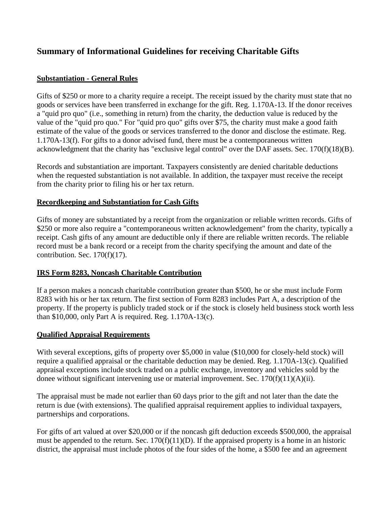# **Summary of Informational Guidelines for receiving Charitable Gifts**

#### **Substantiation - General Rules**

Gifts of \$250 or more to a charity require a receipt. The receipt issued by the charity must state that no goods or services have been transferred in exchange for the gift. Reg. 1.170A-13. If the donor receives a "quid pro quo" (i.e., something in return) from the charity, the deduction value is reduced by the value of the "quid pro quo." For "quid pro quo" gifts over \$75, the charity must make a good faith estimate of the value of the goods or services transferred to the donor and disclose the estimate. Reg. 1.170A-13(f). For gifts to a donor advised fund, there must be a contemporaneous written acknowledgment that the charity has "exclusive legal control" over the DAF assets. Sec. 170(f)(18)(B).

Records and substantiation are important. Taxpayers consistently are denied charitable deductions when the requested substantiation is not available. In addition, the taxpayer must receive the receipt from the charity prior to filing his or her tax return.

#### **Recordkeeping and Substantiation for Cash Gifts**

Gifts of money are substantiated by a receipt from the organization or reliable written records. Gifts of \$250 or more also require a "contemporaneous written acknowledgement" from the charity, typically a receipt. Cash gifts of any amount are deductible only if there are reliable written records. The reliable record must be a bank record or a receipt from the charity specifying the amount and date of the contribution. Sec. 170(f)(17).

#### **IRS Form 8283, Noncash Charitable Contribution**

If a person makes a noncash charitable contribution greater than \$500, he or she must include Form 8283 with his or her tax return. The first section of Form 8283 includes Part A, a description of the property. If the property is publicly traded stock or if the stock is closely held business stock worth less than \$10,000, only Part A is required. Reg. 1.170A-13(c).

#### **Qualified Appraisal Requirements**

With several exceptions, gifts of property over \$5,000 in value (\$10,000 for closely-held stock) will require a qualified appraisal or the charitable deduction may be denied. Reg. 1.170A-13(c). Qualified appraisal exceptions include stock traded on a public exchange, inventory and vehicles sold by the donee without significant intervening use or material improvement. Sec. 170(f)(11)(A)(ii).

The appraisal must be made not earlier than 60 days prior to the gift and not later than the date the return is due (with extensions). The qualified appraisal requirement applies to individual taxpayers, partnerships and corporations.

For gifts of art valued at over \$20,000 or if the noncash gift deduction exceeds \$500,000, the appraisal must be appended to the return. Sec.  $170(f)(11)(D)$ . If the appraised property is a home in an historic district, the appraisal must include photos of the four sides of the home, a \$500 fee and an agreement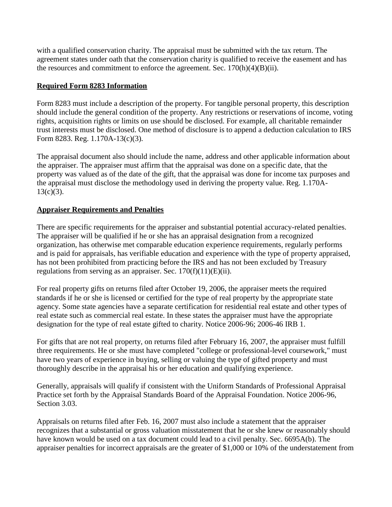with a qualified conservation charity. The appraisal must be submitted with the tax return. The agreement states under oath that the conservation charity is qualified to receive the easement and has the resources and commitment to enforce the agreement. Sec.  $170(h)(4)(B)(ii)$ .

#### **Required Form 8283 Information**

Form 8283 must include a description of the property. For tangible personal property, this description should include the general condition of the property. Any restrictions or reservations of income, voting rights, acquisition rights or limits on use should be disclosed. For example, all charitable remainder trust interests must be disclosed. One method of disclosure is to append a deduction calculation to IRS Form 8283. Reg. 1.170A-13(c)(3).

The appraisal document also should include the name, address and other applicable information about the appraiser. The appraiser must affirm that the appraisal was done on a specific date, that the property was valued as of the date of the gift, that the appraisal was done for income tax purposes and the appraisal must disclose the methodology used in deriving the property value. Reg. 1.170A- $13(c)(3)$ .

#### **Appraiser Requirements and Penalties**

There are specific requirements for the appraiser and substantial potential accuracy-related penalties. The appraiser will be qualified if he or she has an appraisal designation from a recognized organization, has otherwise met comparable education experience requirements, regularly performs and is paid for appraisals, has verifiable education and experience with the type of property appraised, has not been prohibited from practicing before the IRS and has not been excluded by Treasury regulations from serving as an appraiser. Sec.  $170(f)(11)(E)(ii)$ .

For real property gifts on returns filed after October 19, 2006, the appraiser meets the required standards if he or she is licensed or certified for the type of real property by the appropriate state agency. Some state agencies have a separate certification for residential real estate and other types of real estate such as commercial real estate. In these states the appraiser must have the appropriate designation for the type of real estate gifted to charity. Notice 2006-96; 2006-46 IRB 1.

For gifts that are not real property, on returns filed after February 16, 2007, the appraiser must fulfill three requirements. He or she must have completed "college or professional-level coursework," must have two years of experience in buying, selling or valuing the type of gifted property and must thoroughly describe in the appraisal his or her education and qualifying experience.

Generally, appraisals will qualify if consistent with the Uniform Standards of Professional Appraisal Practice set forth by the Appraisal Standards Board of the Appraisal Foundation. Notice 2006-96, Section 3.03.

Appraisals on returns filed after Feb. 16, 2007 must also include a statement that the appraiser recognizes that a substantial or gross valuation misstatement that he or she knew or reasonably should have known would be used on a tax document could lead to a civil penalty. Sec. 6695A(b). The appraiser penalties for incorrect appraisals are the greater of \$1,000 or 10% of the understatement from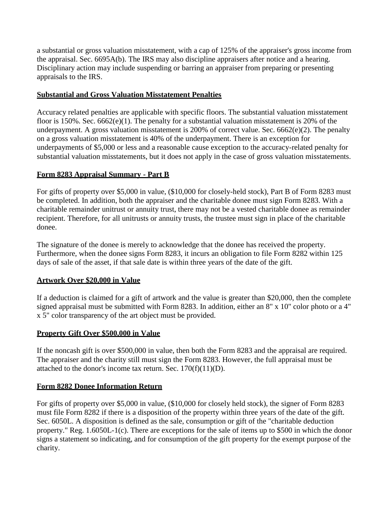a substantial or gross valuation misstatement, with a cap of 125% of the appraiser's gross income from the appraisal. Sec. 6695A(b). The IRS may also discipline appraisers after notice and a hearing. Disciplinary action may include suspending or barring an appraiser from preparing or presenting appraisals to the IRS.

#### **Substantial and Gross Valuation Misstatement Penalties**

Accuracy related penalties are applicable with specific floors. The substantial valuation misstatement floor is 150%. Sec. 6662(e)(1). The penalty for a substantial valuation misstatement is 20% of the underpayment. A gross valuation misstatement is 200% of correct value. Sec. 6662(e)(2). The penalty on a gross valuation misstatement is 40% of the underpayment. There is an exception for underpayments of \$5,000 or less and a reasonable cause exception to the accuracy-related penalty for substantial valuation misstatements, but it does not apply in the case of gross valuation misstatements.

### **Form 8283 Appraisal Summary - Part B**

For gifts of property over \$5,000 in value, (\$10,000 for closely-held stock), Part B of Form 8283 must be completed. In addition, both the appraiser and the charitable donee must sign Form 8283. With a charitable remainder unitrust or annuity trust, there may not be a vested charitable donee as remainder recipient. Therefore, for all unitrusts or annuity trusts, the trustee must sign in place of the charitable donee.

The signature of the donee is merely to acknowledge that the donee has received the property. Furthermore, when the donee signs Form 8283, it incurs an obligation to file Form 8282 within 125 days of sale of the asset, if that sale date is within three years of the date of the gift.

#### **Artwork Over \$20,000 in Value**

If a deduction is claimed for a gift of artwork and the value is greater than \$20,000, then the complete signed appraisal must be submitted with Form 8283. In addition, either an 8" x 10" color photo or a 4" x 5" color transparency of the art object must be provided.

#### **Property Gift Over \$500,000 in Value**

If the noncash gift is over \$500,000 in value, then both the Form 8283 and the appraisal are required. The appraiser and the charity still must sign the Form 8283. However, the full appraisal must be attached to the donor's income tax return. Sec.  $170(f)(11)(D)$ .

## **Form 8282 Donee Information Return**

For gifts of property over \$5,000 in value, (\$10,000 for closely held stock), the signer of Form 8283 must file Form 8282 if there is a disposition of the property within three years of the date of the gift. Sec. 6050L. A disposition is defined as the sale, consumption or gift of the "charitable deduction property." Reg. 1.6050L-1(c). There are exceptions for the sale of items up to \$500 in which the donor signs a statement so indicating, and for consumption of the gift property for the exempt purpose of the charity.